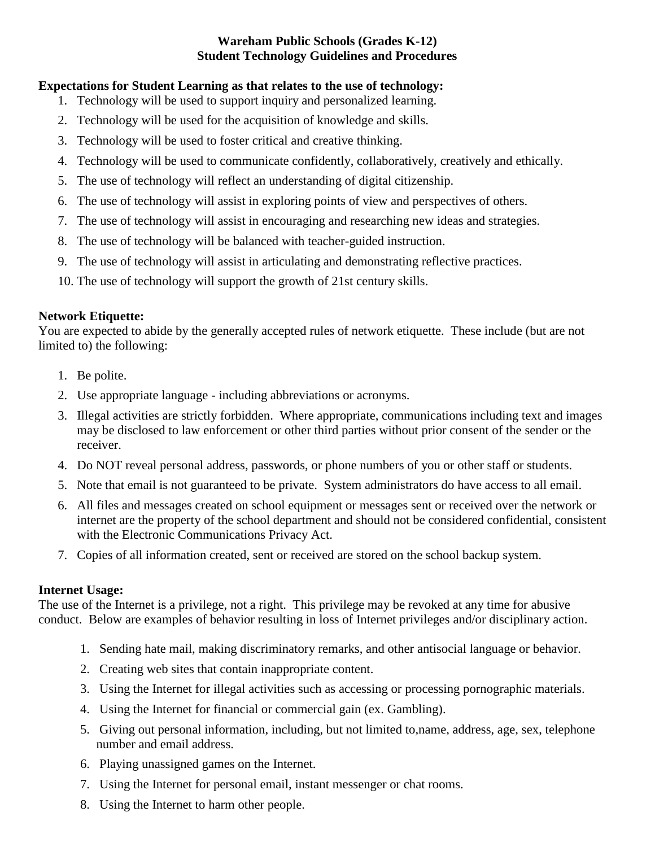## **Wareham Public Schools (Grades K-12) Student Technology Guidelines and Procedures**

# **Expectations for Student Learning as that relates to the use of technology:**

- 1. Technology will be used to support inquiry and personalized learning.
- 2. Technology will be used for the acquisition of knowledge and skills.
- 3. Technology will be used to foster critical and creative thinking.
- 4. Technology will be used to communicate confidently, collaboratively, creatively and ethically.
- 5. The use of technology will reflect an understanding of digital citizenship.
- 6. The use of technology will assist in exploring points of view and perspectives of others.
- 7. The use of technology will assist in encouraging and researching new ideas and strategies.
- 8. The use of technology will be balanced with teacher-guided instruction.
- 9. The use of technology will assist in articulating and demonstrating reflective practices.
- 10. The use of technology will support the growth of 21st century skills.

## **Network Etiquette:**

You are expected to abide by the generally accepted rules of network etiquette. These include (but are not limited to) the following:

- 1. Be polite.
- 2. Use appropriate language including abbreviations or acronyms.
- 3. Illegal activities are strictly forbidden. Where appropriate, communications including text and images may be disclosed to law enforcement or other third parties without prior consent of the sender or the receiver.
- 4. Do NOT reveal personal address, passwords, or phone numbers of you or other staff or students.
- 5. Note that email is not guaranteed to be private. System administrators do have access to all email.
- 6. All files and messages created on school equipment or messages sent or received over the network or internet are the property of the school department and should not be considered confidential, consistent with the Electronic Communications Privacy Act.
- 7. Copies of all information created, sent or received are stored on the school backup system.

## **Internet Usage:**

The use of the Internet is a privilege, not a right. This privilege may be revoked at any time for abusive conduct. Below are examples of behavior resulting in loss of Internet privileges and/or disciplinary action.

- 1. Sending hate mail, making discriminatory remarks, and other antisocial language or behavior.
- 2. Creating web sites that contain inappropriate content.
- 3. Using the Internet for illegal activities such as accessing or processing pornographic materials.
- 4. Using the Internet for financial or commercial gain (ex. Gambling).
- 5. Giving out personal information, including, but not limited to,name, address, age, sex, telephone number and email address.
- 6. Playing unassigned games on the Internet.
- 7. Using the Internet for personal email, instant messenger or chat rooms.
- 8. Using the Internet to harm other people.